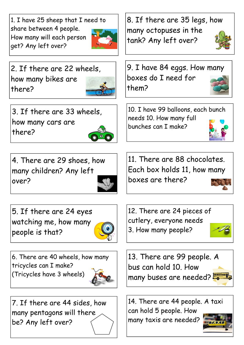1. I have 25 sheep that I need to share between 4 people. How many will each person get? Any left over?



2. If there are 22 wheels, how many bikes are there?



3. If there are 33 wheels, how many cars are there?



4. There are 29 shoes, how many children? Any left over?



5. If there are 24 eyes watching me, how many people is that?



6. There are 40 wheels, how many tricycles can I make? (Tricycles have 3 wheels)



7. If there are 44 sides, how many pentagons will there be? Any left over?

8. If there are 35 legs, how many octopuses in the tank? Any left over?





10. I have 99 balloons, each bunch needs 10. How many full bunches can I make?



boxes are there?







14. There are 44 people. A taxi can hold 5 people. How

many taxis are needed?

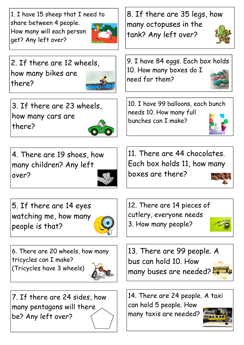1. I have 15 sheep that I need to share between 4 people. How many will each person get? Any left over?



2. If there are 12 wheels, how many bikes are there?



3. If there are 23 wheels, how many cars are there?



4. There are 19 shoes, how many children? Any left over?



5. If there are 14 eyes watching me, how many people is that?



6. There are 20 wheels, how many tricycles can I make? (Tricycles have 3 wheels)



7. If there are 24 sides, how many pentagons will there be? Any left over?

8. If there are 35 legs, how many octopuses in the tank? Any left over?



9. I have 84 eggs. Each box holds 10. How many boxes do I need for them?

10. I have 99 balloons, each bunch needs 10. How many full bunches can I make?



11. There are 44 chocolates. Each box holds 11, how many boxes are there?



12. There are 14 pieces of cutlery, everyone needs 3. How many people?





14. There are 24 people. A taxi can hold 5 people. How many taxis are needed?